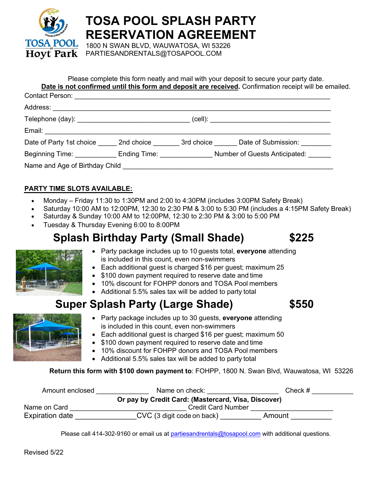

**TOSA POOL SPLASH PARTY RESERVATION AGREEMENT**

1800 N SWAN BLVD, WAUWATOSA, WI 53226 PARTIESANDRENTALS@TOSAPOOL.COM

## Please complete this form neatly and mail with your deposit to secure your party date.

**Date is not confirmed until this form and deposit are received.** Confirmation receipt will be emailed.

|  |  | Date of Party 1st choice 2nd choice 3rd choice Date of Submission:      |  |
|--|--|-------------------------------------------------------------------------|--|
|  |  | Beginning Time: Ending Time: Ending Time: Number of Guests Anticipated: |  |
|  |  |                                                                         |  |
|  |  |                                                                         |  |

### **PARTY TIME SLOTS AVAILABLE:**

- Monday Friday 11:30 to 1:30PM and 2:00 to 4:30PM (includes 3:00PM Safety Break)
- Saturday 10:00 AM to 12:00PM, 12:30 to 2:30 PM & 3:00 to 5:30 PM (includes a 4:15PM Safety Break)
- Saturday & Sunday 10:00 AM to 12:00PM, 12:30 to 2:30 PM & 3:00 to 5:00 PM
- Tuesday & Thursday Evening 6:00 to 8:00PM

# **Splash Birthday Party (Small Shade) \$225**



- Party package includes up to 10 guests total, **everyone** attending is included in this count, even non-swimmers
- Each additional guest is charged \$16 per guest; maximum 25
- \$100 down payment required to reserve date and time
- 10% discount for FOHPP donors and TOSA Pool members
- Additional 5.5% sales tax will be added to party total

# **Super Splash Party (Large Shade) \$550**



- Party package includes up to 30 guests, **everyone** attending is included in this count, even non-swimmers
- Each additional guest is charged \$16 per guest; maximum 50
- \$100 down payment required to reserve date and time
- 10% discount for FOHPP donors and TOSA Pool members
- Additional 5.5% sales tax will be added to party total

**Return this form with \$100 down payment to**: FOHPP, 1800 N. Swan Blvd, Wauwatosa, WI 53226

| Amount enclosed        | Name on check:                                      | Check $#$ |
|------------------------|-----------------------------------------------------|-----------|
|                        | Or pay by Credit Card: (Mastercard, Visa, Discover) |           |
| Name on Card           | <b>Credit Card Number</b>                           |           |
| <b>Expiration date</b> | CVC (3 digit code on back)                          | Amount    |

Please call 414-302-9160 or email us at partiesandrentals@tosapool.com with additional questions.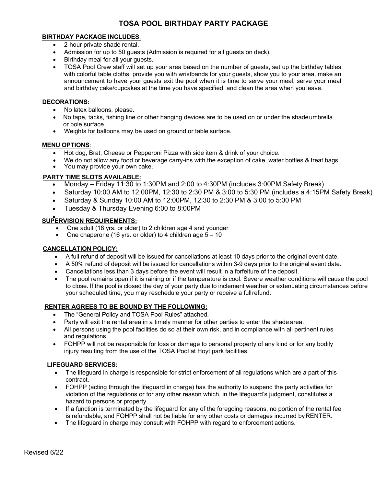### **TOSA POOL BIRTHDAY PARTY PACKAGE**

#### **BIRTHDAY PACKAGE INCLUDES**:

- 2-hour private shade rental.
- Admission for up to 50 guests (Admission is required for all guests on deck).
- Birthday meal for all your guests.
- TOSA Pool Crew staff will set up your area based on the number of guests, set up the birthday tables with colorful table cloths, provide you with wristbands for your guests, show you to your area, make an announcement to have your guests exit the pool when it is time to serve your meal, serve your meal and birthday cake/cupcakes at the time you have specified, and clean the area when you leave.

#### **DECORATIONS:**

- No latex balloons, please.
- No tape, tacks, fishing line or other hanging devices are to be used on or under the shadeumbrella or pole surface.
- Weights for balloons may be used on ground or table surface.

#### **MENU OPTIONS**:

- Hot dog, Brat, Cheese or Pepperoni Pizza with side item & drink of your choice.
- We do not allow any food or beverage carry-ins with the exception of cake, water bottles & treat bags.
- You may provide your own cake.

#### **PARTY TIME SLOTS AVAILABLE:**

- Monday Friday 11:30 to 1:30PM and 2:00 to 4:30PM (includes 3:00PM Safety Break)
- Saturday 10:00 AM to 12:00PM, 12:30 to 2:30 PM & 3:00 to 5:30 PM (includes a 4:15PM Safety Break)
- Saturday & Sunday 10:00 AM to 12:00PM, 12:30 to 2:30 PM & 3:00 to 5:00 PM
- Tuesday & Thursday Evening 6:00 to 8:00PM

## • **SUPERVISION REQUIREMENTS:**

- One adult (18 yrs. or older) to 2 children age 4 and younger
- One chaperone (16 yrs. or older) to 4 children age  $5 10$

#### **CANCELLATION POLICY:**

- A full refund of deposit will be issued for cancellations at least 10 days prior to the original event date.
- A 50% refund of deposit will be issued for cancellations within 3-9 days prior to the original event date.
- Cancellations less than 3 days before the event will result in a forfeiture of the deposit.
- The pool remains open if it is raining or if the temperature is cool. Severe weather conditions will cause the pool to close. If the pool is closed the day of your party due to inclement weather or extenuating circumstances before your scheduled time, you may reschedule your party or receive a fullrefund.

#### **RENTER AGREES TO BE BOUND BY THE FOLLOWING:**

- The "General Policy and TOSA Pool Rules" attached.
- Party will exit the rental area in a timely manner for other parties to enter the shade area.
- All persons using the pool facilities do so at their own risk, and in compliance with all pertinent rules and regulations.
- FOHPP will not be responsible for loss or damage to personal property of any kind or for any bodily injury resulting from the use of the TOSA Pool at Hoyt park facilities.

#### **LIFEGUARD SERVICES:**

- The lifeguard in charge is responsible for strict enforcement of all regulations which are a part of this contract.
- FOHPP (acting through the lifeguard in charge) has the authority to suspend the party activities for violation of the regulations or for any other reason which, in the lifeguard's judgment, constitutes a hazard to persons or property.
- If a function is terminated by the lifeguard for any of the foregoing reasons, no portion of the rental fee is refundable, and FOHPP shall not be liable for any other costs or damages incurred byRENTER.
- The lifeguard in charge may consult with FOHPP with regard to enforcement actions.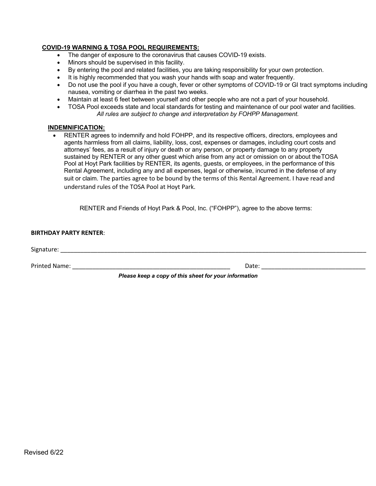#### **COVID-19 WARNING & TOSA POOL REQUIREMENTS:**

- The danger of exposure to the coronavirus that causes COVID-19 exists.
- Minors should be supervised in this facility.
- By entering the pool and related facilities, you are taking responsibility for your own protection.
- It is highly recommended that you wash your hands with soap and water frequently.
- Do not use the pool if you have a cough, fever or other symptoms of COVID-19 or GI tract symptoms including nausea, vomiting or diarrhea in the past two weeks.
- Maintain at least 6 feet between yourself and other people who are not a part of your household.
- TOSA Pool exceeds state and local standards for testing and maintenance of our pool water and facilities. *All rules are subject to change and interpretation by FOHPP Management.*

#### **INDEMNIFICATION:**

• RENTER agrees to indemnify and hold FOHPP, and its respective officers, directors, employees and agents harmless from all claims, liability, loss, cost, expenses or damages, including court costs and attorneys' fees, as a result of injury or death or any person, or property damage to any property sustained by RENTER or any other guest which arise from any act or omission on or about theTOSA Pool at Hoyt Park facilities by RENTER, its agents, guests, or employees, in the performance of this Rental Agreement, including any and all expenses, legal or otherwise, incurred in the defense of any suit or claim. The parties agree to be bound by the terms of this Rental Agreement. I have read and understand rules of the TOSA Pool at Hoyt Park.

RENTER and Friends of Hoyt Park & Pool, Inc. ("FOHPP"), agree to the above terms:

| <b>BIRTHDAY PARTY RENTER:</b> |                                                       |  |  |  |
|-------------------------------|-------------------------------------------------------|--|--|--|
| Signature:                    |                                                       |  |  |  |
| Printed Name:                 | Date:                                                 |  |  |  |
|                               | Please keep a copy of this sheet for your information |  |  |  |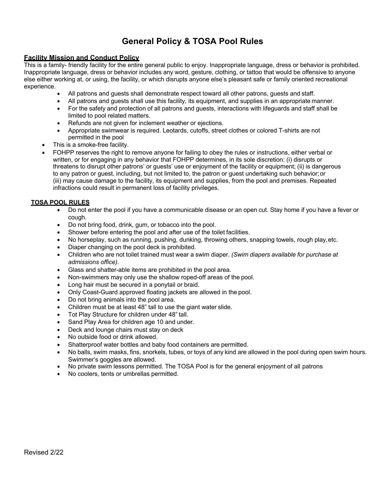## **General Policy & TOSA Pool Rules**

#### **Facility Mission and Conduct Policy**

This is a family- friendly facility for the entire general public to enjoy. Inappropriate language, dress or behavior is prohibited. Inappropriate language, dress or behavior includes any word, gesture, clothing, or tattoo that would be offensive to anyone else either working at, or using, the facility, or which disrupts anyone else's pleasant safe or family oriented recreational experience.

- All patrons and guests shall demonstrate respect toward all other patrons, guests and staff.
- All patrons and guests shall use this facility, its equipment, and supplies in an appropriate manner.
- For the safety and protection of all patrons and guests, interactions with lifeguards and staff shall be limited to pool related matters.
- Refunds are not given for inclement weather or ejections.
- Appropriate swimwear is required. Leotards, cutoffs, street clothes or colored T-shirts are not permitted in the pool
- This is a smoke-free facility.
- FOHPP reserves the right to remove anyone for failing to obey the rules or instructions, either verbal or written, or for engaging in any behavior that FOHPP determines, in its sole discretion: (i) disrupts or threatens to disrupt other patrons' or guests' use or enjoyment of the facility or equipment; (ii) is dangerous to any patron or guest, including, but not limited to, the patron or guest undertaking such behavior;or (iii) may cause damage to the facility, its equipment and supplies, from the pool and premises. Repeated infractions could result in permanent loss of facility privileges.

#### **TOSA POOL RULES**

- Do not enter the pool if you have a communicable disease or an open cut. Stay home if you have a fever or cough.
- Do not bring food, drink, gum, or tobacco into the pool.
- Shower before entering the pool and after use of the toilet facilities.
- No horseplay, such as running, pushing, dunking, throwing others, snapping towels, rough play, etc.
- Diaper changing on the pool deck is prohibited.
- Children who are not toilet trained must wear a swim diaper. *(Swim diapers available for purchase at admissions office).*
- Glass and shatter-able items are prohibited in the pool area.
- Non-swimmers may only use the shallow roped-off areas of the pool.
- Long hair must be secured in a ponytail or braid.
- Only Coast-Guard approved floating jackets are allowed in the pool.
- Do not bring animals into the pool area.
- Children must be at least 48" tall to use the giant water slide.
- Tot Play Structure for children under 48" tall.
- Sand Play Area for children age 10 and under.
- Deck and lounge chairs must stay on deck
- No outside food or drink allowed.
- Shatterproof water bottles and baby food containers are permitted.
- No balls, swim masks, fins, snorkels, tubes, or toys of any kind are allowed in the pool during open swim hours. Swimmer's goggles are allowed.
- No private swim lessons permitted. The TOSA Pool is for the general enjoyment of all patrons
- No coolers, tents or umbrellas permitted.